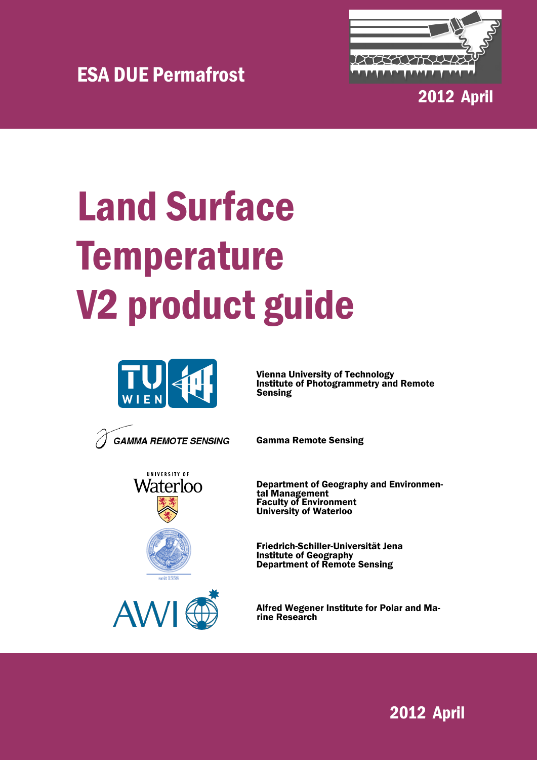



2012 April

# Land Surface **Temperature** V2 product guide



Vienna University of Technology Institute of Photogrammetry and Remote Sensing



UNIVERSITY OF Waterloo

AW

Gamma Remote Sensing

Department of Geography and Environmental Management Faculty of Environment University of Waterloo

Friedrich-Schiller-Universität Jena Institute of Geography Department of Remote Sensing

Alfred Wegener Institute for Polar and Marine Research

2012 April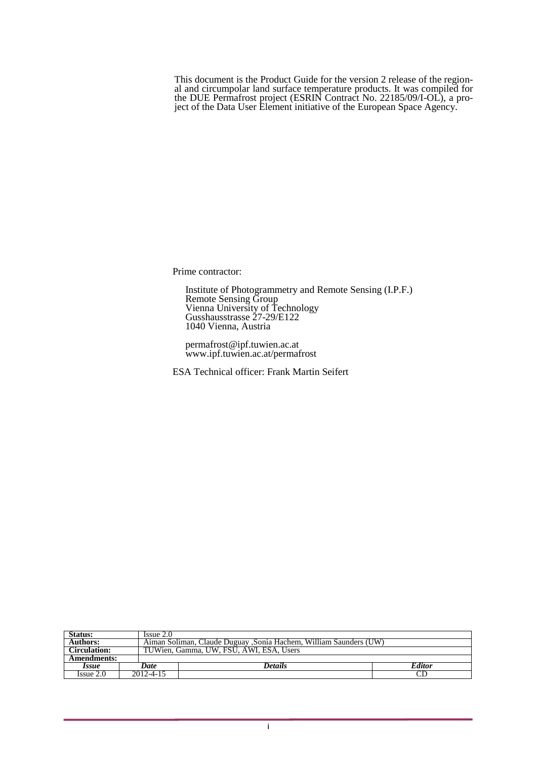This document is the Product Guide for the version 2 release of the regional and circumpolar land surface temperature products. It was compiled for the DUE Permafrost project (ESRIN Contract No. 22185/09/I-OL), a project of the Data User Element initiative of the European Space Agency.

Prime contractor:

Institute of Photogrammetry and Remote Sensing (I.P.F.) Remote Sensing Group Vienna University of Technology Gusshausstrasse 27-29/E122 1040 Vienna, Austria

permafrost@ipf.tuwien.ac.at www.ipf.tuwien.ac.at/permafrost

ESA Technical officer: Frank Martin Seifert

| Status:         | Issue 2.0 |                                                                    |        |  |  |  |  |  |
|-----------------|-----------|--------------------------------------------------------------------|--------|--|--|--|--|--|
| <b>Authors:</b> |           | Aiman Soliman, Claude Duguay , Sonia Hachem, William Saunders (UW) |        |  |  |  |  |  |
| Circulation:    |           | TUWien, Gamma, UW, FSU, AWI, ESA, Users                            |        |  |  |  |  |  |
| Amendments:     |           |                                                                    |        |  |  |  |  |  |
| Issue           | Date      | Details                                                            | Editor |  |  |  |  |  |
| Issue 2.0       | 2012-4-15 |                                                                    |        |  |  |  |  |  |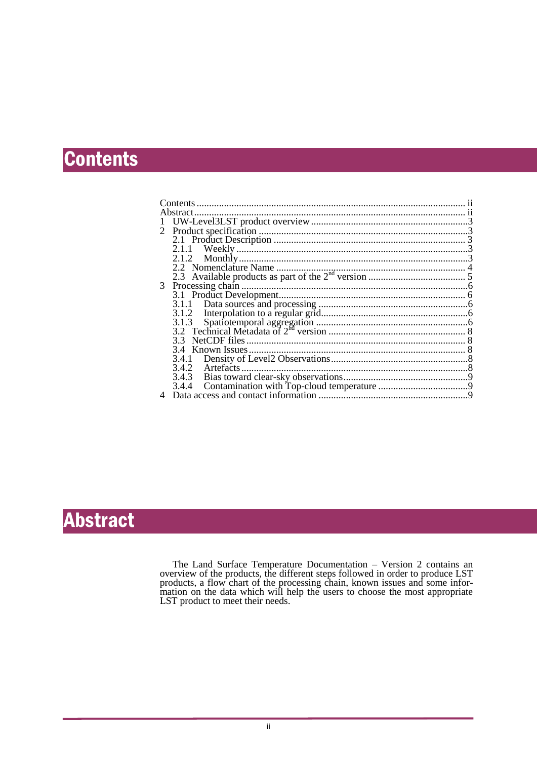# <span id="page-2-0"></span>Contents

|   | Contents           |  |
|---|--------------------|--|
|   | Abstract           |  |
|   |                    |  |
|   |                    |  |
|   |                    |  |
|   |                    |  |
|   |                    |  |
|   |                    |  |
|   |                    |  |
| 3 |                    |  |
|   |                    |  |
|   |                    |  |
|   |                    |  |
|   |                    |  |
|   |                    |  |
|   | 3.3                |  |
|   |                    |  |
|   |                    |  |
|   | Artefacts<br>3.4.2 |  |
|   |                    |  |
|   | 3.4.4              |  |
|   |                    |  |
|   |                    |  |

# <span id="page-2-1"></span>Abstract

The Land Surface Temperature Documentation – Version 2 contains an overview of the products, the different steps followed in order to produce LST products, a flow chart of the processing chain, known issues and some information on the data which will help the users to choose the most appropriate LST product to meet their needs.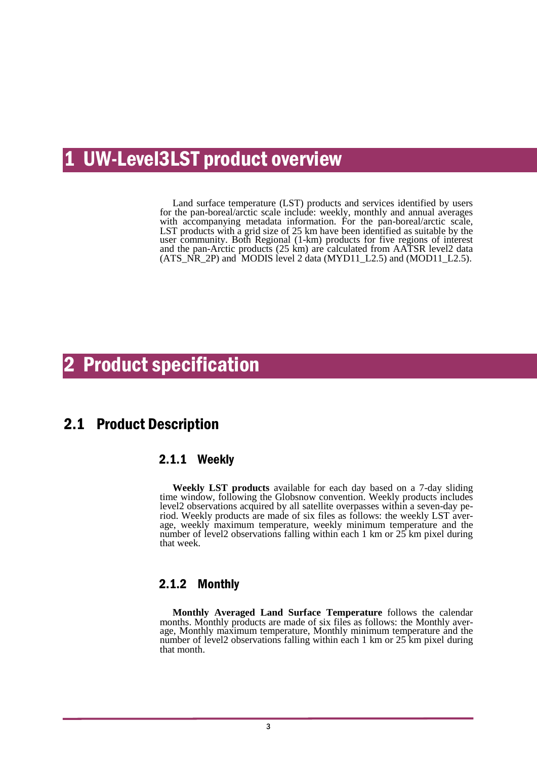# <span id="page-3-0"></span>UW-Level3LST product overview

Land surface temperature (LST) products and services identified by users for the pan-boreal/arctic scale include: weekly, monthly and annual averages with accompanying metadata information. For the pan-boreal/arctic scale, LST products with a grid size of 25 km have been identified as suitable by the user community. Both Regional (1-km) products for five regions of interest and the pan-Arctic products (25 km) are calculated from AATSR level2 data  $(ATS_NR_2P)$  and MODIS level 2 data  $(MYD11_L2.5)$  and  $(MOD11_L2.5)$ .

# <span id="page-3-1"></span>2 Product specification

## <span id="page-3-3"></span><span id="page-3-2"></span>2.1 Product Description

### 2.1.1 Weekly

**Weekly LST products** available for each day based on a 7-day sliding time window, following the Globsnow convention. Weekly products includes level2 observations acquired by all satellite overpasses within a seven-day period. Weekly products are made of six files as follows: the weekly LST average, weekly maximum temperature, weekly minimum temperature and the number of level2 observations falling within each 1 km or 25 km pixel during that week.

### <span id="page-3-4"></span>2.1.2 Monthly

**Monthly Averaged Land Surface Temperature** follows the calendar months. Monthly products are made of six files as follows: the Monthly average, Monthly maximum temperature, Monthly minimum temperature and the number of level2 observations falling within each 1 km or 25 km pixel during that month.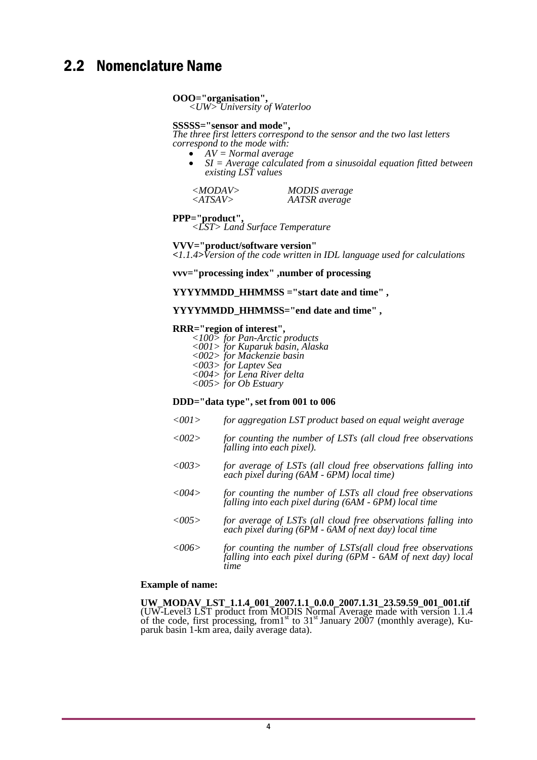# <span id="page-4-0"></span>2.2 Nomenclature Name

#### **OOO="organisation",**

*<UW> University of Waterloo*

#### **SSSSS="sensor and mode",**

*The three first letters correspond to the sensor and the two last letters correspond to the mode with:*

 *AV = Normal average SI = Average calculated from a sinusoidal equation fitted between existing LST values*

| $\langle MODAV \rangle$ | <b>MODIS</b> average |
|-------------------------|----------------------|
| $\langle ATSAV\rangle$  | AATSR average        |

### **PPP="product",**

*<LST> Land Surface Temperature* 

### **VVV="product/software version"**  *<1.1.4>Version of the code written in IDL language used for calculations*

**vvv="processing index" ,number of processing**

### **YYYYMMDD\_HHMMSS ="start date and time" ,**

#### **YYYYMMDD\_HHMMSS="end date and time" ,**

### **RRR="region of interest",**

*<100> for Pan-Arctic products <001> for Kuparuk basin, Alaska <002> for Mackenzie basin <003> for Laptev Sea <004> for Lena River delta <005> for Ob Estuary*

### **DDD="data type", set from 001 to 006**

- *<001> for aggregation LST product based on equal weight average*
- *<002> for counting the number of LSTs (all cloud free observations falling into each pixel).*
- *<003> for average of LSTs (all cloud free observations falling into each pixel during (6AM - 6PM) local time)*
- *<004> for counting the number of LSTs all cloud free observations falling into each pixel during (6AM - 6PM) local time*
- *<005> for average of LSTs (all cloud free observations falling into each pixel during (6PM - 6AM of next day) local time*
- *<006> for counting the number of LSTs(all cloud free observations falling into each pixel during (6PM - 6AM of next day) local time*

#### **Example of name:**

**UW\_MODAV\_LST\_1.1.4\_001\_2007.1.1\_0.0.0\_2007.1.31\_23.59.59\_001\_001.tif** (UW-Level3 LST product from MODIS Normal Average made with version 1.1.4 of the code, first processing, from  $1<sup>st</sup>$  to  $31<sup>st</sup>$  January 2007 (monthly average), Kuparuk basin 1-km area, daily average data).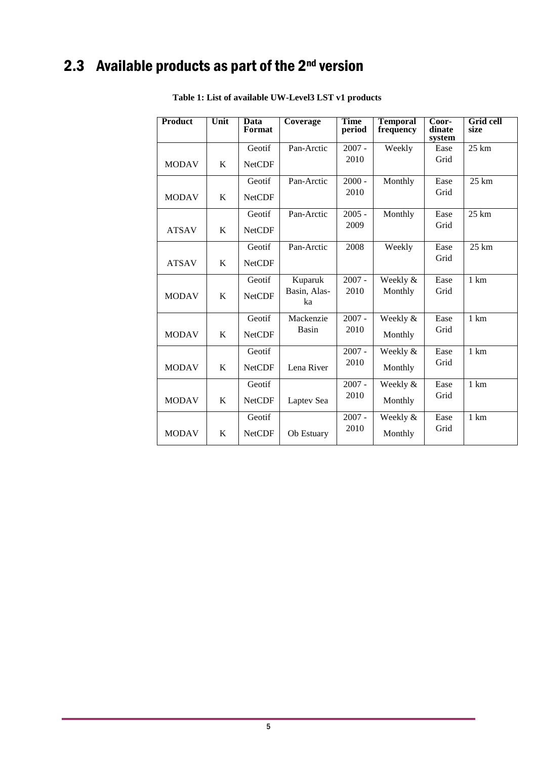# <span id="page-5-0"></span>2.3 Available products as part of the  $2<sup>nd</sup>$  version

| Product      | Unit | <b>Data</b><br>Format | Coverage           | Time<br>period | <b>Temporal</b><br>frequency | Coor-<br>dinate<br>system | <b>Grid cell</b><br>size |
|--------------|------|-----------------------|--------------------|----------------|------------------------------|---------------------------|--------------------------|
|              |      | Geotif                | Pan-Arctic         | $2007 -$       | Weekly                       | Ease                      | $25 \text{ km}$          |
| <b>MODAV</b> | K    | <b>NetCDF</b>         |                    | 2010           |                              | Grid                      |                          |
|              |      | Geotif                | Pan-Arctic         | $2000 -$       | Monthly                      | Ease                      | 25 km                    |
| <b>MODAV</b> | K    | <b>NetCDF</b>         |                    | 2010           |                              | Grid                      |                          |
|              |      | Geotif                | Pan-Arctic         | $2005 -$       | Monthly                      | Ease                      | $25 \mathrm{km}$         |
| <b>ATSAV</b> | K    | <b>NetCDF</b>         |                    | 2009           |                              | Grid                      |                          |
|              |      | Geotif                | Pan-Arctic         | 2008           | Weekly                       | Ease                      | $25 \text{ km}$          |
| <b>ATSAV</b> | K    | <b>NetCDF</b>         |                    |                |                              | Grid                      |                          |
|              |      | Geotif                | Kuparuk            | $2007 -$       | Weekly &                     | Ease                      | 1 km                     |
| <b>MODAV</b> | K    | <b>NetCDF</b>         | Basin, Alas-<br>ka | 2010           | Monthly                      | Grid                      |                          |
|              |      | Geotif                | Mackenzie          | $2007 -$       | Weekly &                     | Ease                      | 1 km                     |
| <b>MODAV</b> | K    | <b>NetCDF</b>         | Basin              | 2010           | Monthly                      | Grid                      |                          |
|              |      | Geotif                |                    | $2007 -$       | Weekly &                     | Ease                      | 1 km                     |
| <b>MODAV</b> | K    | <b>NetCDF</b>         | Lena River         | 2010           | Monthly                      | Grid                      |                          |
|              |      | Geotif                |                    | $2007 -$       | Weekly &                     | Ease                      | 1 km                     |
| <b>MODAV</b> | K    | <b>NetCDF</b>         | Laptev Sea         | 2010           | Monthly                      | Grid                      |                          |
|              |      | Geotif                |                    | $2007 -$       | Weekly &                     | Ease                      | 1 km                     |
| <b>MODAV</b> | K    | <b>NetCDF</b>         | Ob Estuary         | 2010           | Monthly                      | Grid                      |                          |

**Table 1: List of available UW-Level3 LST v1 products**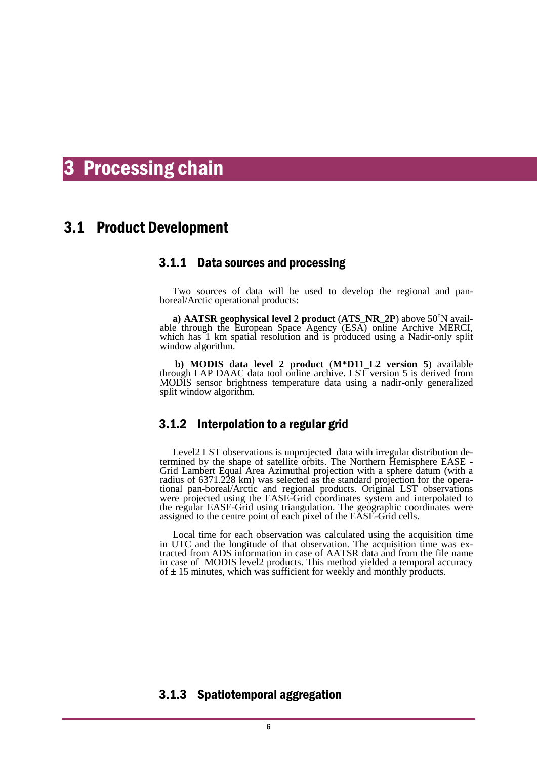# <span id="page-6-0"></span>**Processing chain**

### <span id="page-6-2"></span><span id="page-6-1"></span>3.1 Product Development

### 3.1.1 Data sources and processing

Two sources of data will be used to develop the regional and panboreal/Arctic operational products:

**a) AATSR geophysical level 2 product (ATS\_NR\_2P) above 50°N avail**able through the European Space Agency (ESA) online Archive MERCI, which has 1 km spatial resolution and is produced using a Nadir-only split window algorithm.

**b) MODIS data level 2 product** (**M\*D11\_L2 version 5**) available through LAP DAAC data tool online archive. LST version 5 is derived from MODIS sensor brightness temperature data using a nadir-only generalized split window algorithm.

### <span id="page-6-3"></span>3.1.2 Interpolation to a regular grid

Level2 LST observations is unprojected data with irregular distribution determined by the shape of satellite orbits. The Northern Hemisphere EASE - Grid Lambert Equal Area Azimuthal projection with a sphere datum (with a radius of 6371.228 km) was selected as the standard projection for the operational pan-boreal/Arctic and regional products. Original LST observations were projected using the EASE-Grid coordinates system and interpolated to the regular EASE-Grid using triangulation. The geographic coordinates were assigned to the centre point of each pixel of the EASE-Grid cells.

Local time for each observation was calculated using the acquisition time in UTC and the longitude of that observation. The acquisition time was extracted from ADS information in case of AATSR data and from the file name in case of MODIS level2 products. This method yielded a temporal accuracy of  $\pm$  15 minutes, which was sufficient for weekly and monthly products.

### <span id="page-6-4"></span>3.1.3 Spatiotemporal aggregation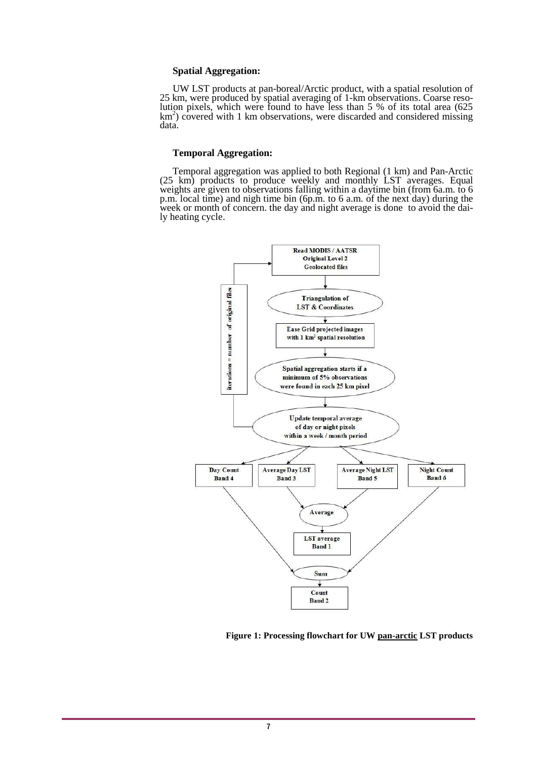#### **Spatial Aggregation:**

UW LST products at pan-boreal/Arctic product, with a spatial resolution of 25 km, were produced by spatial averaging of 1-km observations. Coarse resolution pixels, which were found to have less than 5 % of its total area (625  $km<sup>2</sup>$ ) covered with 1 km observations, were discarded and considered missing data.

#### **Temporal Aggregation:**

Temporal aggregation was applied to both Regional (1 km) and Pan-Arctic (25 km) products to produce weekly and monthly LST averages. Equal weights are given to observations falling within a daytime bin (from 6a.m. to 6 p.m. local time) and nigh time bin (6p.m. to 6 a.m. of the next day) during the week or month of concern. the day and night average is done to avoid the daily heating cycle.



**Figure 1: Processing flowchart for UW pan-arctic LST products**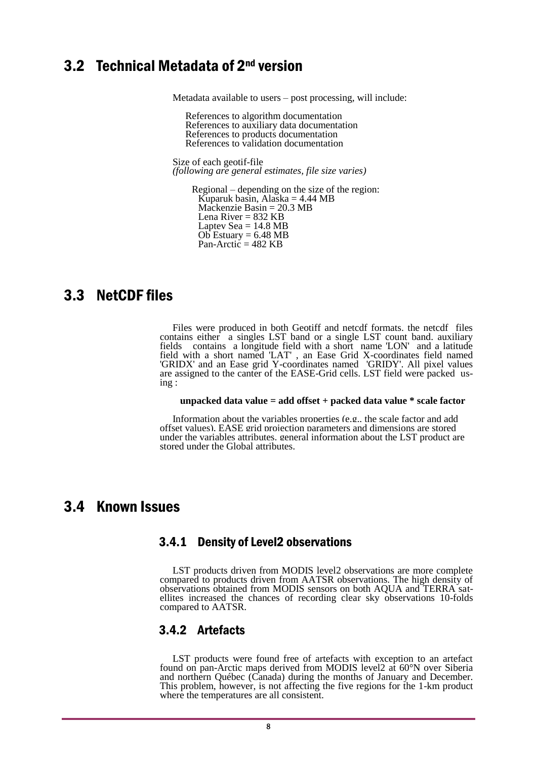# <span id="page-8-0"></span>3.2 Technical Metadata of 2nd version

Metadata available to users – post processing, will include:

References to algorithm documentation References to auxiliary data documentation References to products documentation References to validation documentation

Size of each geotif-file *(following are general estimates, file size varies)*

Regional – depending on the size of the region: Kuparuk basin, Alaska = 4.44 MB Mackenzie Basin = 20.3 MB Lena River = 832 KB Laptev Sea  $= 14.8$  MB Ob Estuary  $= 6.48 \text{ MB}$ Pan-Arctic  $= 482$  KB

## <span id="page-8-1"></span>3.3 NetCDF files

Files were produced in both Geotiff and netcdf formats. the netcdf files contains either a singles LST band or a single LST count band. auxiliary fields contains a longitude field with a short name 'LON' and a latitude field with a short named 'LAT' , an Ease Grid X-coordinates field named 'GRIDX' and an Ease grid Y-coordinates named 'GRIDY'. All pixel values are assigned to the canter of the EASE-Grid cells. LST field were packed using :

#### **unpacked data value = add offset + packed data value \* scale factor**

Information about the variables properties (e.g., the scale factor and add offset values), EASE grid projection parameters and dimensions are stored under the variables attributes. general information about the LST product are stored under the Global attributes.

### <span id="page-8-3"></span><span id="page-8-2"></span>3.4 Known Issues

### 3.4.1 Density of Level2 observations

LST products driven from MODIS level2 observations are more complete compared to products driven from AATSR observations. The high density of observations obtained from MODIS sensors on both AQUA and TERRA satellites increased the chances of recording clear sky observations 10-folds compared to AATSR.

### <span id="page-8-4"></span>3.4.2 Artefacts

LST products were found free of artefacts with exception to an artefact found on pan-Arctic maps derived from MODIS level2 at 60°N over Siberia and northern Québec (Canada) during the months of January and December. This problem, however, is not affecting the five regions for the 1-km product where the temperatures are all consistent.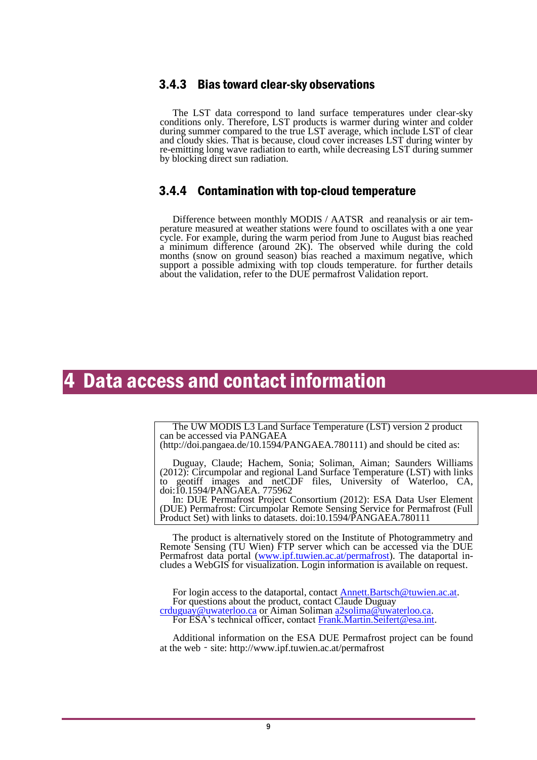### <span id="page-9-0"></span>3.4.3 Bias toward clear-sky observations

The LST data correspond to land surface temperatures under clear-sky conditions only. Therefore, LST products is warmer during winter and colder during summer compared to the true LST average, which include LST of clear and cloudy skies. That is because, cloud cover increases LST during winter by re-emitting long wave radiation to earth, while decreasing LST during summer by blocking direct sun radiation.

### <span id="page-9-1"></span>3.4.4 Contamination with top-cloud temperature

Difference between monthly MODIS / AATSR and reanalysis or air temperature measured at weather stations were found to oscillates with a one year cycle. For example, during the warm period from June to August bias reached a minimum difference (around 2K). The observed while during the cold months (snow on ground season) bias reached a maximum negative, which support a possible admixing with top clouds temperature. for further details about the validation, refer to the DUE permafrost Validation report.

# <span id="page-9-2"></span>Data access and contact information

The UW MODIS L3 Land Surface Temperature (LST) version 2 product can be accessed via PANGAEA (http://doi.pangaea.de/10.1594/PANGAEA.780111) and should be cited as:

Duguay, Claude; Hachem, Sonia; Soliman, Aiman; Saunders Williams (2012): Circumpolar and regional Land Surface Temperature (LST) with links to geotiff images and netCDF files, University of Waterloo, CA, doi:10.1594/PANGAEA. 775962

In: DUE Permafrost Project Consortium (2012): ESA Data User Element (DUE) Permafrost: Circumpolar Remote Sensing Service for Permafrost (Full Product Set) with links to datasets. doi:10.1594/PANGAEA.780111

The product is alternatively stored on the Institute of Photogrammetry and Remote Sensing (TU Wien) FTP server which can be accessed via the DUE Permafrost data portal [\(www.ipf.tuwien.ac.at/permafrost\)](http://www.ipf.tuwien.ac.at/permafrost). The dataportal includes a WebGIS for visualization. Login information is available on request.

For login access to the dataportal, contact **Annett.Bartsch@tuwien.ac.at**. For questions about the product, contact Claude Duguay [crduguay@uwaterloo.ca](mailto:crduguay@uwaterloo.ca) or Aiman Soliman [a2solima@uwaterloo.ca.](mailto:a2solima@uwaterloo.ca) For ESA's technical officer, contac[t Frank.Martin.Seifert@esa.int.](mailto:Frank.Martin.Seifert@esa.int)

Additional information on the ESA DUE Permafrost project can be found at the web‐site: http://www.ipf.tuwien.ac.at/permafrost